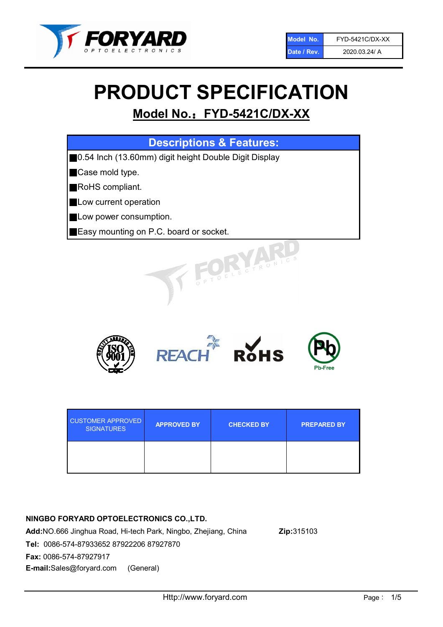

# PRODUCT SPECIFICATION

## Model No.: FYD-5421C/DX-XX

| <b>Descriptions &amp; Features:</b>                   |
|-------------------------------------------------------|
| 0.54 Inch (13.60mm) digit height Double Digit Display |
| Case mold type.                                       |
| RoHS compliant.                                       |
| Low current operation                                 |
| Low power consumption.                                |
| <b>Easy mounting on P.C. board or socket.</b>         |
| PTOELECTRONICS                                        |



| <b>CUSTOMER APPROVED</b><br><b>SIGNATURES</b> | <b>APPROVED BY</b> | <b>CHECKED BY</b> | <b>PREPARED BY</b> |
|-----------------------------------------------|--------------------|-------------------|--------------------|
|                                               |                    |                   |                    |

## NINGBO FORYARD OPTOELECTRONICS CO.,LTD.

Add:NO.666 Jinghua Road, Hi-tech Park, Ningbo, Zhejiang, China Zip:315103 Tel: 0086-574-87933652 87922206 87927870 Fax: 0086-574-87927917 E-mail:Sales@foryard.com (General)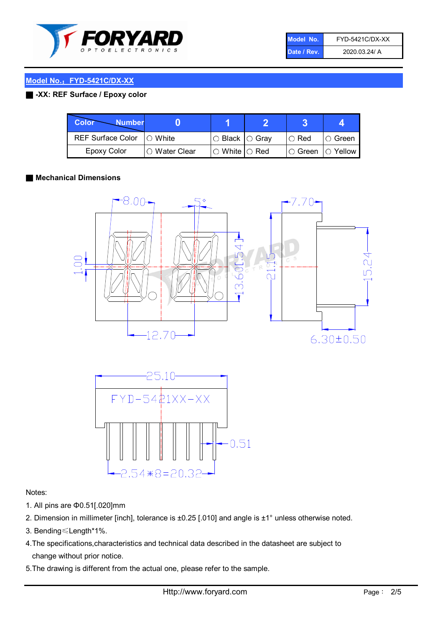

| Model No.   | FYD-5421C/DX-XX |
|-------------|-----------------|
| Date / Rev. | 2020.03.24/ A   |

## Model No.: FYD-5421C/DX-XX

## ■ -XX: REF Surface / Epoxy color

| Color<br><b>Number</b>      |                |                                                   |               |                   |
|-----------------------------|----------------|---------------------------------------------------|---------------|-------------------|
| REF Surface Color   O White |                | $\circ$ Black $\circ$ Gray                        | $\circ$ Red   | $\circ$ Green     |
| Epoxy Color                 | I∩ Water Clear | $\mathbin{\varcap}$ White $\mathbin{\varcap}$ Red | $\circ$ Green | $\bigcirc$ Yellow |

## ■ Mechanical Dimensions





## Notes:

- 1. All pins are Φ0.51[.020]mm
- 2. Dimension in millimeter [inch], tolerance is ±0.25 [.010] and angle is ±1° unless otherwise noted.
- 3. Bending≤Length\*1%.
- 4.The specifications,characteristics and technical data described in the datasheet are subject to change without prior notice.
- 5.The drawing is different from the actual one, please refer to the sample.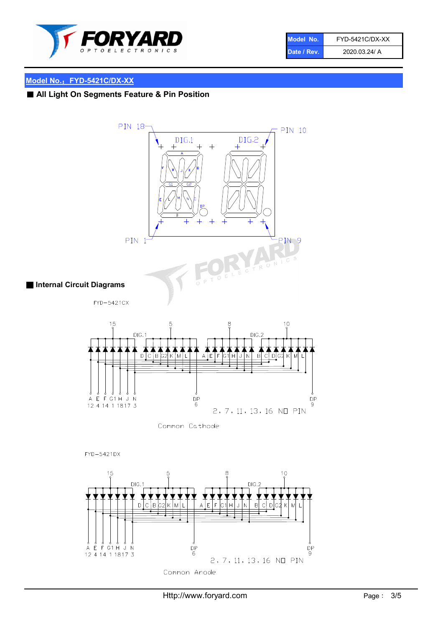

| Model No.   | <b>FYD-5421C/DX-XX</b> |
|-------------|------------------------|
| Date / Rev. | 2020.03.24/ A          |

## Model No.: FYD-5421C/DX-XX

## ■ All Light On Segments Feature & Pin Position

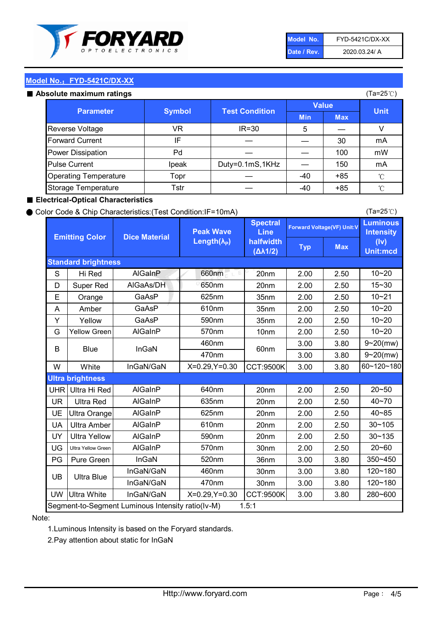

| Model No.   | FYD-5421C/DX-XX |
|-------------|-----------------|
| Date / Rev. | 2020.03.24/ A   |

(Ta=25℃)

## Model No.: FYD-5421C/DX-XX

#### Absolute maxir

| solute maximum ratings       |               |                       |              |            | (Ta=25℃)    |
|------------------------------|---------------|-----------------------|--------------|------------|-------------|
| <b>Parameter</b>             | <b>Symbol</b> |                       | <b>Value</b> |            |             |
|                              |               | <b>Test Condition</b> | <b>Min</b>   | <b>Max</b> | <b>Unit</b> |
| Reverse Voltage              | VR            | $IR = 30$             | 5            |            |             |
| <b>Forward Current</b>       | IF            |                       |              | 30         | mA          |
| Power Dissipation            | Pd            |                       |              | 100        | mW          |
| <b>Pulse Current</b>         | Ipeak         | Duty=0.1mS,1KHz       |              | 150        | mA          |
| <b>Operating Temperature</b> | Topr          |                       | $-40$        | $+85$      | °C          |
| Storage Temperature          | Tstr          |                       | -40          | $+85$      | °C          |

## ■ Electrical-Optical Characteristics

### ● Color Code & Chip Characteristics:(Test Condition:IF=10mA)

Typ Max S | Hi $\textsf{Red}$  | AlGaInP | 660nm LE 20nm | 2.00 | 2.50 D | Super Red | AIGaAs/DH | 650nm | 20nm | 2.00 | 2.50 E | Orange | GaAsP | 625nm | 35nm | 2.00 | 2.50 A | Amber | GaAsP | 610nm | 35nm | 2.00 | 2.50 Y | Yellow | GaAsP | 590nm | 35nm | 2.00 | 2.50 G Yellow Green AIGaInP | 570nm | 10nm | 2.00 | 2.50 3.00 3.80 3.00 3.80 W | White | InGaN/GaN | X=0.29,Y=0.30 |CCT:9500K| 3.00 | 3.80 UHR Ultra Hi Red | AlGaInP | 640nm | 20nm | 2.00 | 2.50 UR | Ultra Red | AlGaInP | 635nm | 20nm | 2.00 | 2.50 UE Ultra Orange | AIGaInP | 625nm | 20nm | 2.00 | 2.50 UA Ultra Amber | AIGaInP | 610nm | 20nm | 2.00 | 2.50  $UV$  Ultra Yellow  $\vert$  AlGaInP  $\vert$  590nm  $\vert$  20nm  $\vert$  2.00  $\vert$  2.50  $\text{UG}$  Ultra Yellow Green | AIGaInP | 570nm | 30nm | 2.00 | 2.50 PG Pure Green | InGaN | 520nm | 36nm | 3.00 | 3.80 30nm 3.00 3.80 30nm 3.00 3.80 UW |Ultra White | InGaN/GaN | X=0.29,Y=0.30 |CCT:9500K| 3.00 | 3.80 40~85 60~120~180 40~70 Segment-to-Segment Luminous Intensity ratio(Iv-M) 1.5:1 610nm 9~20(mw) 350~450 470nm 120~180 120~180 Ultra Blue InGaN/GaN InGaN/GaN 9~20(mw) 20~50 280~600 570nm | 30nm | 2.00 | 2.50 | 20~60 470nm 590nm InGaN/GaN B Blue I InGaN 570nm | 10nm | 2.00 | 2.50 | 10~20 30~105 30~135 460nm 520nm Ultra brightness **AlGaInP** AlGaInP 60nm AlGaInP 640nm Peak Wave Length $(\lambda_{\rm P})$ UB 460nm 635nm AlGaInP AlGaInP AlGaInP InGaN/GaN AlGaInP 10~20 Luminous **Intensity** (Iv) Unit:mcd AlGainP 660nm GaAsP GaAsP AlGaAs/DH **Spectral** Line halfwidth (∆λ1/2) 10~20 Standard brightness Forward Voltage(VF) Unit:V 15~30 10~20 625nm GaAsP 590nm **Emitting Color Dice Material** 10~21 610nm

## Note:

1.Luminous Intensity is based on the Foryard standards.

2.Pay attention about static for InGaN